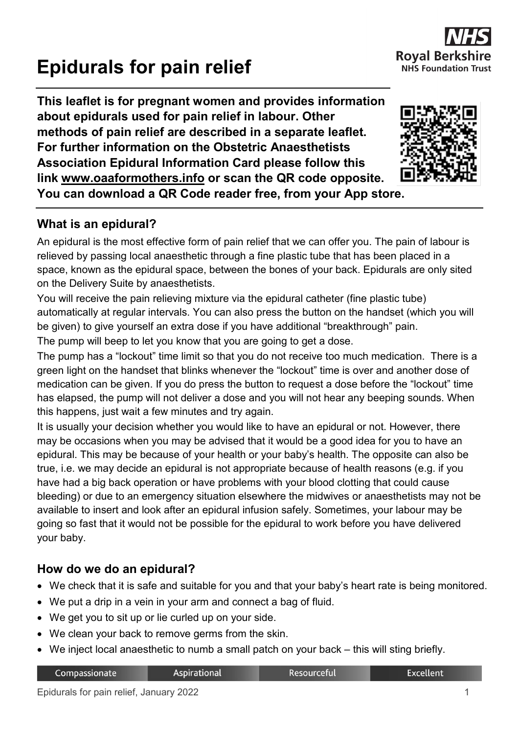# **Epidurals for pain relief**

**This leaflet is for pregnant women and provides information about epidurals used for pain relief in labour. Other methods of pain relief are described in a separate leaflet. For further information on the Obstetric Anaesthetists Association Epidural Information Card please follow this link [www.oaaformothers.info](http://www.oaaformothers.info/) or scan the QR code opposite. You can download a QR Code reader free, from your App store.**

# **What is an epidural?**

An epidural is the most effective form of pain relief that we can offer you. The pain of labour is relieved by passing local anaesthetic through a fine plastic tube that has been placed in a space, known as the epidural space, between the bones of your back. Epidurals are only sited on the Delivery Suite by anaesthetists.

You will receive the pain relieving mixture via the epidural catheter (fine plastic tube) automatically at regular intervals. You can also press the button on the handset (which you will be given) to give yourself an extra dose if you have additional "breakthrough" pain.

The pump will beep to let you know that you are going to get a dose.

The pump has a "lockout" time limit so that you do not receive too much medication. There is a green light on the handset that blinks whenever the "lockout" time is over and another dose of medication can be given. If you do press the button to request a dose before the "lockout" time has elapsed, the pump will not deliver a dose and you will not hear any beeping sounds. When this happens, just wait a few minutes and try again.

It is usually your decision whether you would like to have an epidural or not. However, there may be occasions when you may be advised that it would be a good idea for you to have an epidural. This may be because of your health or your baby's health. The opposite can also be true, i.e. we may decide an epidural is not appropriate because of health reasons (e.g. if you have had a big back operation or have problems with your blood clotting that could cause bleeding) or due to an emergency situation elsewhere the midwives or anaesthetists may not be available to insert and look after an epidural infusion safely. Sometimes, your labour may be going so fast that it would not be possible for the epidural to work before you have delivered your baby.

# **How do we do an epidural?**

- We check that it is safe and suitable for you and that your baby's heart rate is being monitored.
- We put a drip in a vein in your arm and connect a bag of fluid.

**Aspirational** 

- We get you to sit up or lie curled up on your side.
- We clean your back to remove germs from the skin.
- We inject local anaesthetic to numb a small patch on your back this will sting briefly.

Compassionate

| Resourceful |
|-------------|
|             |

**Excellent** 



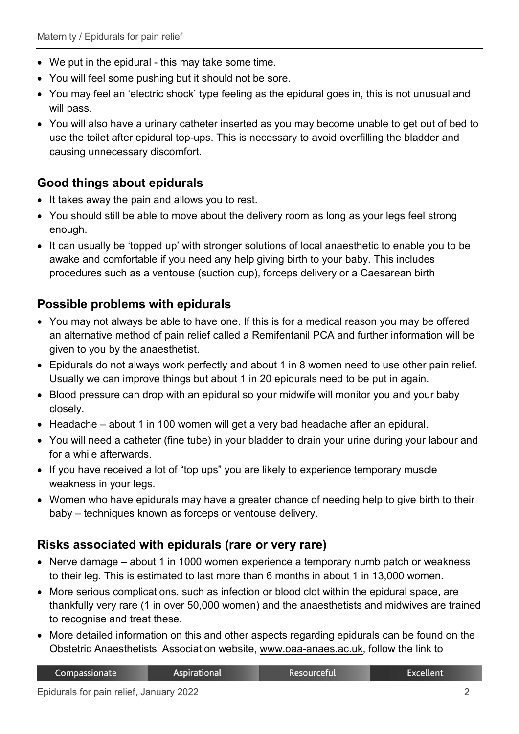- We put in the epidural this may take some time.
- You will feel some pushing but it should not be sore.
- You may feel an 'electric shock' type feeling as the epidural goes in, this is not unusual and will pass.
- You will also have a urinary catheter inserted as you may become unable to get out of bed to use the toilet after epidural top-ups. This is necessary to avoid overfilling the bladder and causing unnecessary discomfort.

# **Good things about epidurals**

- It takes away the pain and allows you to rest.
- You should still be able to move about the delivery room as long as your legs feel strong enough.
- It can usually be 'topped up' with stronger solutions of local anaesthetic to enable you to be awake and comfortable if you need any help giving birth to your baby. This includes procedures such as a ventouse (suction cup), forceps delivery or a Caesarean birth

## **Possible problems with epidurals**

- You may not always be able to have one. If this is for a medical reason you may be offered an alternative method of pain relief called a Remifentanil PCA and further information will be given to you by the anaesthetist.
- Epidurals do not always work perfectly and about 1 in 8 women need to use other pain relief. Usually we can improve things but about 1 in 20 epidurals need to be put in again.
- Blood pressure can drop with an epidural so your midwife will monitor you and your baby closely.
- Headache about 1 in 100 women will get a very bad headache after an epidural.
- You will need a catheter (fine tube) in your bladder to drain your urine during your labour and for a while afterwards.
- If you have received a lot of "top ups" you are likely to experience temporary muscle weakness in your legs.
- Women who have epidurals may have a greater chance of needing help to give birth to their baby – techniques known as forceps or ventouse delivery.

## **Risks associated with epidurals (rare or very rare)**

- Nerve damage about 1 in 1000 women experience a temporary numb patch or weakness to their leg. This is estimated to last more than 6 months in about 1 in 13,000 women.
- More serious complications, such as infection or blood clot within the epidural space, are thankfully very rare (1 in over 50,000 women) and the anaesthetists and midwives are trained to recognise and treat these.
- More detailed information on this and other aspects regarding epidurals can be found on the Obstetric Anaesthetists' Association website, [www.oaa-anaes.ac.uk,](http://www.oaa-anaes.ac.uk/) follow the link to

| Compassionate | Aspirational | Resourceful | Excellent |
|---------------|--------------|-------------|-----------|
|               |              |             |           |